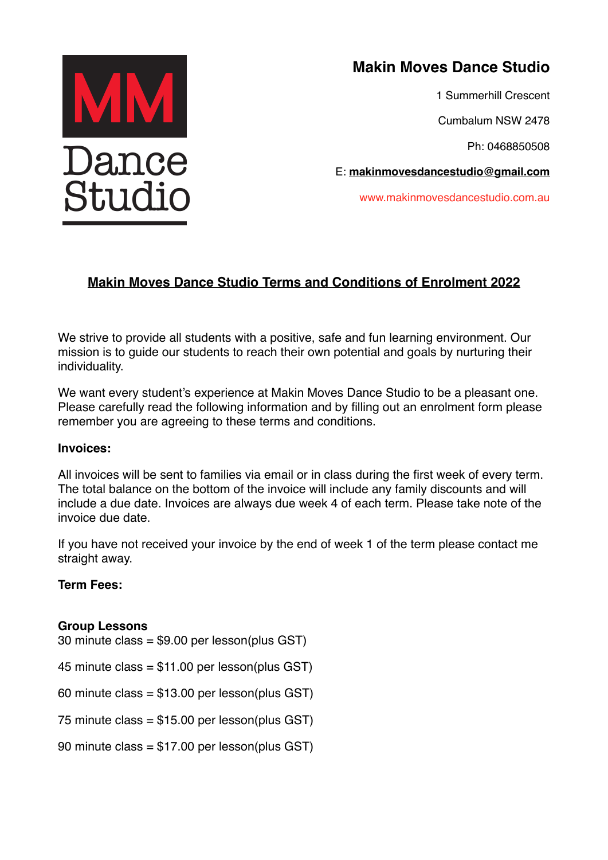

# **Makin Moves Dance Studio**

1 Summerhill Crescent

Cumbalum NSW 2478

Ph: 0468850508

E: **[makinmovesdancestudio@gmail.com](mailto:makinmovesdancestudio@gmail.com)**

www.makinmovesdancestudio.com.au

# **Makin Moves Dance Studio Terms and Conditions of Enrolment 2022**

We strive to provide all students with a positive, safe and fun learning environment. Our mission is to guide our students to reach their own potential and goals by nurturing their individuality.

We want every student's experience at Makin Moves Dance Studio to be a pleasant one. Please carefully read the following information and by filling out an enrolment form please remember you are agreeing to these terms and conditions.

#### **Invoices:**

All invoices will be sent to families via email or in class during the first week of every term. The total balance on the bottom of the invoice will include any family discounts and will include a due date. Invoices are always due week 4 of each term. Please take note of the invoice due date.

If you have not received your invoice by the end of week 1 of the term please contact me straight away.

# **Term Fees:**

#### **Group Lessons**

30 minute class = \$9.00 per lesson(plus GST) 45 minute class = \$11.00 per lesson(plus GST) 60 minute class = \$13.00 per lesson(plus GST) 75 minute class = \$15.00 per lesson(plus GST) 90 minute class = \$17.00 per lesson(plus GST)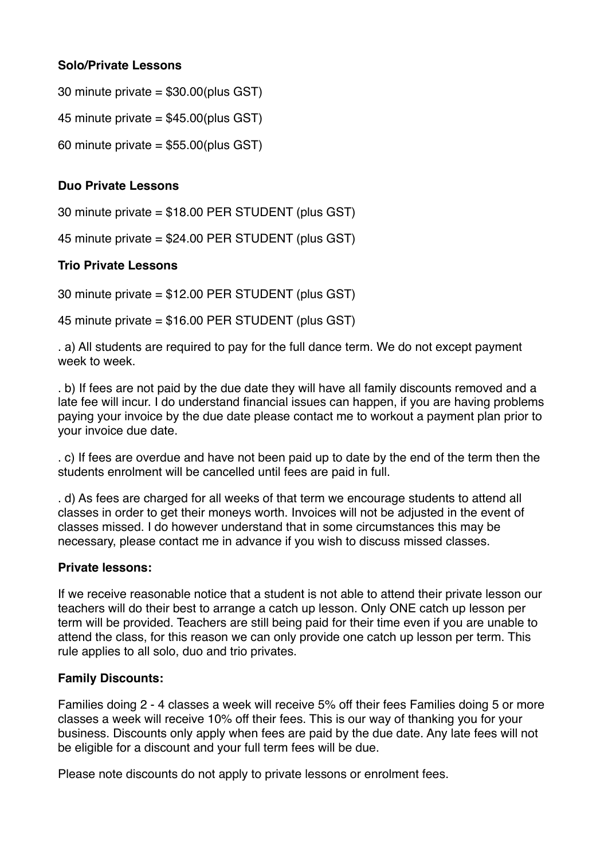# **Solo/Private Lessons**

30 minute private = \$30.00(plus GST)

45 minute private = \$45.00(plus GST)

60 minute private =  $$55.00$ (plus GST)

# **Duo Private Lessons**

30 minute private = \$18.00 PER STUDENT (plus GST)

45 minute private = \$24.00 PER STUDENT (plus GST)

# **Trio Private Lessons**

30 minute private = \$12.00 PER STUDENT (plus GST)

45 minute private = \$16.00 PER STUDENT (plus GST)

. a) All students are required to pay for the full dance term. We do not except payment week to week.

. b) If fees are not paid by the due date they will have all family discounts removed and a late fee will incur. I do understand financial issues can happen, if you are having problems paying your invoice by the due date please contact me to workout a payment plan prior to your invoice due date.

. c) If fees are overdue and have not been paid up to date by the end of the term then the students enrolment will be cancelled until fees are paid in full.

. d) As fees are charged for all weeks of that term we encourage students to attend all classes in order to get their moneys worth. Invoices will not be adjusted in the event of classes missed. I do however understand that in some circumstances this may be necessary, please contact me in advance if you wish to discuss missed classes.

#### **Private lessons:**

If we receive reasonable notice that a student is not able to attend their private lesson our teachers will do their best to arrange a catch up lesson. Only ONE catch up lesson per term will be provided. Teachers are still being paid for their time even if you are unable to attend the class, for this reason we can only provide one catch up lesson per term. This rule applies to all solo, duo and trio privates.

#### **Family Discounts:**

Families doing 2 - 4 classes a week will receive 5% off their fees Families doing 5 or more classes a week will receive 10% off their fees. This is our way of thanking you for your business. Discounts only apply when fees are paid by the due date. Any late fees will not be eligible for a discount and your full term fees will be due.

Please note discounts do not apply to private lessons or enrolment fees.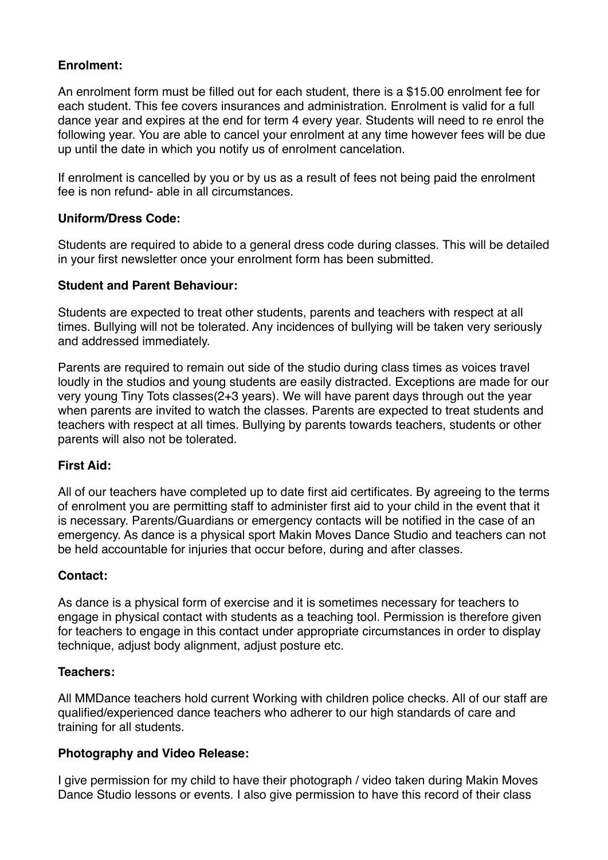# **Enrolment:**

An enrolment form must be filled out for each student, there is a \$15.00 enrolment fee for each student. This fee covers insurances and administration. Enrolment is valid for a full dance year and expires at the end for term 4 every year. Students will need to re enrol the following year. You are able to cancel your enrolment at any time however fees will be due up until the date in which you notify us of enrolment cancelation.

If enrolment is cancelled by you or by us as a result of fees not being paid the enrolment fee is non refund- able in all circumstances.

# **Uniform/Dress Code:**

Students are required to abide to a general dress code during classes. This will be detailed in your first newsletter once your enrolment form has been submitted.

#### **Student and Parent Behaviour:**

Students are expected to treat other students, parents and teachers with respect at all times. Bullying will not be tolerated. Any incidences of bullying will be taken very seriously and addressed immediately.

Parents are required to remain out side of the studio during class times as voices travel loudly in the studios and young students are easily distracted. Exceptions are made for our very young Tiny Tots classes(2+3 years). We will have parent days through out the year when parents are invited to watch the classes. Parents are expected to treat students and teachers with respect at all times. Bullying by parents towards teachers, students or other parents will also not be tolerated.

#### **First Aid:**

All of our teachers have completed up to date first aid certificates. By agreeing to the terms of enrolment you are permitting staff to administer first aid to your child in the event that it is necessary. Parents/Guardians or emergency contacts will be notified in the case of an emergency. As dance is a physical sport Makin Moves Dance Studio and teachers can not be held accountable for injuries that occur before, during and after classes.

#### **Contact:**

As dance is a physical form of exercise and it is sometimes necessary for teachers to engage in physical contact with students as a teaching tool. Permission is therefore given for teachers to engage in this contact under appropriate circumstances in order to display technique, adjust body alignment, adjust posture etc.

#### **Teachers:**

All MMDance teachers hold current Working with children police checks. All of our staff are qualified/experienced dance teachers who adherer to our high standards of care and training for all students.

#### **Photography and Video Release:**

I give permission for my child to have their photograph / video taken during Makin Moves Dance Studio lessons or events. I also give permission to have this record of their class